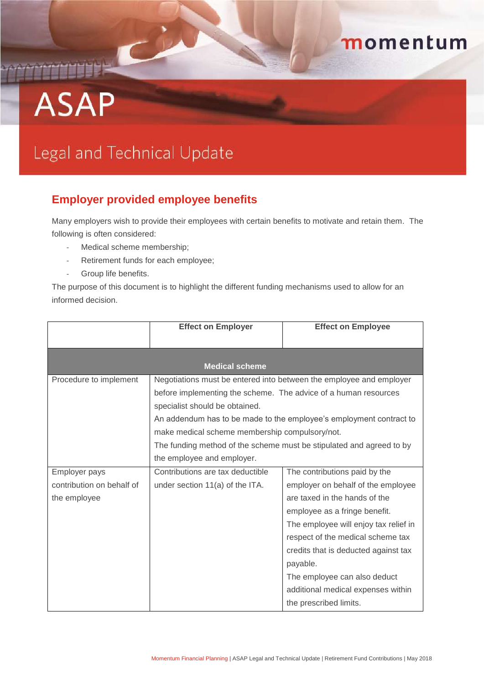## momentum

## **ASAP**

## Legal and Technical Update

## **Employer provided employee benefits**

Many employers wish to provide their employees with certain benefits to motivate and retain them. The following is often considered:

- Medical scheme membership;
- Retirement funds for each employee;
- Group life benefits.

The purpose of this document is to highlight the different funding mechanisms used to allow for an informed decision.

|                           | <b>Effect on Employer</b>                                       | <b>Effect on Employee</b>                                            |  |  |
|---------------------------|-----------------------------------------------------------------|----------------------------------------------------------------------|--|--|
|                           |                                                                 |                                                                      |  |  |
| <b>Medical scheme</b>     |                                                                 |                                                                      |  |  |
| Procedure to implement    |                                                                 | Negotiations must be entered into between the employee and employer  |  |  |
|                           | before implementing the scheme. The advice of a human resources |                                                                      |  |  |
|                           | specialist should be obtained.                                  |                                                                      |  |  |
|                           |                                                                 | An addendum has to be made to the employee's employment contract to  |  |  |
|                           | make medical scheme membership compulsory/not.                  |                                                                      |  |  |
|                           |                                                                 | The funding method of the scheme must be stipulated and agreed to by |  |  |
|                           | the employee and employer.                                      |                                                                      |  |  |
| Employer pays             | Contributions are tax deductible                                | The contributions paid by the                                        |  |  |
| contribution on behalf of | under section 11(a) of the ITA.                                 | employer on behalf of the employee                                   |  |  |
| the employee              |                                                                 | are taxed in the hands of the                                        |  |  |
|                           |                                                                 | employee as a fringe benefit.                                        |  |  |
|                           |                                                                 | The employee will enjoy tax relief in                                |  |  |
|                           |                                                                 | respect of the medical scheme tax                                    |  |  |
|                           |                                                                 | credits that is deducted against tax                                 |  |  |
|                           |                                                                 | payable.                                                             |  |  |
|                           |                                                                 | The employee can also deduct                                         |  |  |
|                           |                                                                 | additional medical expenses within                                   |  |  |
|                           |                                                                 | the prescribed limits.                                               |  |  |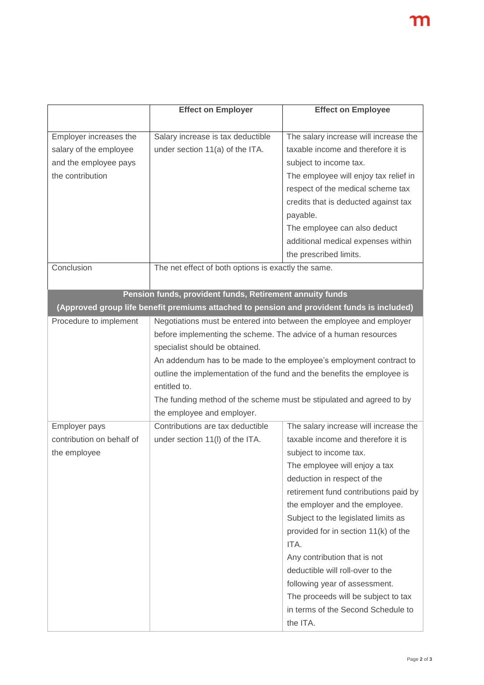|                           | <b>Effect on Employer</b>                                                                  | <b>Effect on Employee</b>                                            |  |
|---------------------------|--------------------------------------------------------------------------------------------|----------------------------------------------------------------------|--|
|                           |                                                                                            |                                                                      |  |
| Employer increases the    | Salary increase is tax deductible                                                          | The salary increase will increase the                                |  |
| salary of the employee    | under section 11(a) of the ITA.                                                            | taxable income and therefore it is                                   |  |
| and the employee pays     |                                                                                            | subject to income tax.                                               |  |
| the contribution          |                                                                                            | The employee will enjoy tax relief in                                |  |
|                           |                                                                                            | respect of the medical scheme tax                                    |  |
|                           |                                                                                            | credits that is deducted against tax                                 |  |
|                           |                                                                                            | payable.                                                             |  |
|                           |                                                                                            | The employee can also deduct                                         |  |
|                           |                                                                                            | additional medical expenses within                                   |  |
|                           |                                                                                            | the prescribed limits.                                               |  |
| Conclusion                | The net effect of both options is exactly the same.                                        |                                                                      |  |
|                           |                                                                                            |                                                                      |  |
|                           | Pension funds, provident funds, Retirement annuity funds                                   |                                                                      |  |
|                           | (Approved group life benefit premiums attached to pension and provident funds is included) |                                                                      |  |
| Procedure to implement    | Negotiations must be entered into between the employee and employer                        |                                                                      |  |
|                           | before implementing the scheme. The advice of a human resources                            |                                                                      |  |
|                           | specialist should be obtained.                                                             |                                                                      |  |
|                           |                                                                                            | An addendum has to be made to the employee's employment contract to  |  |
|                           | outline the implementation of the fund and the benefits the employee is                    |                                                                      |  |
|                           | entitled to.                                                                               |                                                                      |  |
|                           |                                                                                            | The funding method of the scheme must be stipulated and agreed to by |  |
|                           | the employee and employer.                                                                 |                                                                      |  |
| Employer pays             | Contributions are tax deductible                                                           | The salary increase will increase the                                |  |
| contribution on behalf of | under section 11(I) of the ITA.                                                            | taxable income and therefore it is                                   |  |
| the employee              |                                                                                            | subject to income tax.                                               |  |
|                           |                                                                                            | The employee will enjoy a tax                                        |  |
|                           |                                                                                            | deduction in respect of the                                          |  |
|                           |                                                                                            | retirement fund contributions paid by                                |  |
|                           |                                                                                            | the employer and the employee.                                       |  |
|                           |                                                                                            | Subject to the legislated limits as                                  |  |
|                           |                                                                                            | provided for in section 11(k) of the                                 |  |
|                           |                                                                                            | ITA.                                                                 |  |
|                           |                                                                                            | Any contribution that is not                                         |  |
|                           |                                                                                            | deductible will roll-over to the                                     |  |
|                           |                                                                                            | following year of assessment.                                        |  |
|                           |                                                                                            | The proceeds will be subject to tax                                  |  |
|                           |                                                                                            | in terms of the Second Schedule to                                   |  |
|                           |                                                                                            | the ITA.                                                             |  |